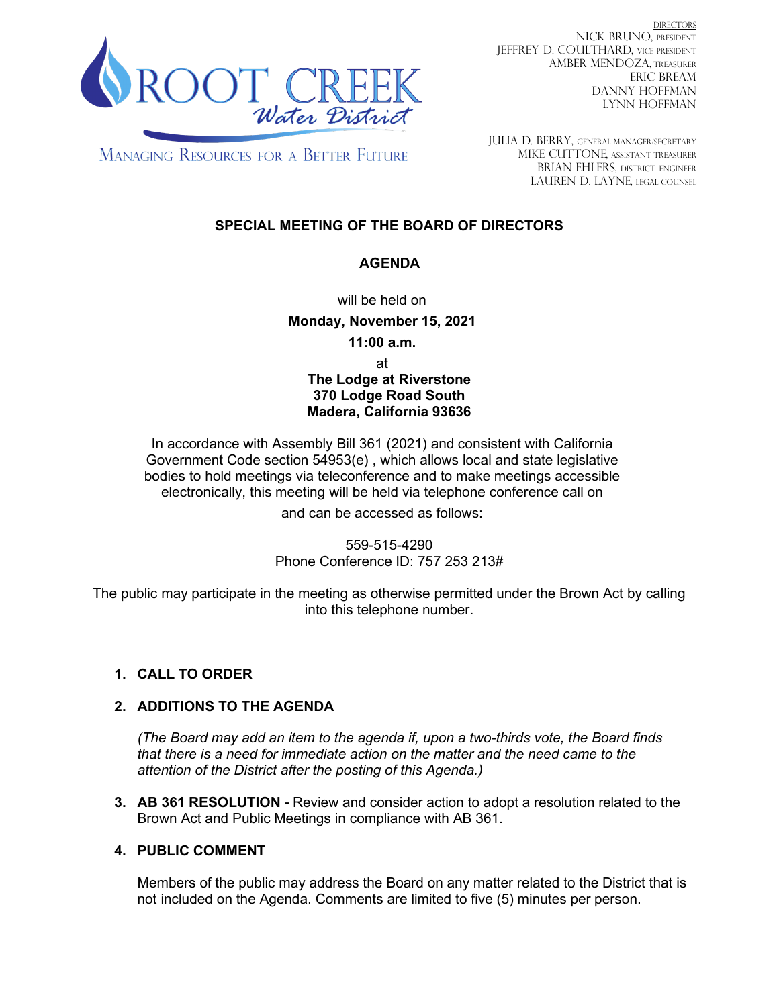

DIRECTORS NICK BRUNO, PRESIDENT JEFFREY D. COULTHARD, Vice President AMBER MENDOZA, TREASURER ERIC BREAM DANNY HOFFMAN LYNN HOFFMAN

**MANAGING RESOURCES FOR A BETTER FUTURE** 

JULIA D. BERRY, GENERAL MANAGER/secretary MIKE CUTTONE, Assistant treasurer BRIAN EHLERS, DISTRICT ENGINEER LAUREN D. LAYNE, LEGAL COUNSEL

# **SPECIAL MEETING OF THE BOARD OF DIRECTORS**

### **AGENDA**

will be held on

**Monday, November 15, 2021**

**11:00 a.m.**

at **The Lodge at Riverstone 370 Lodge Road South Madera, California 93636**

In accordance with Assembly Bill 361 (2021) and consistent with California Government Code section 54953(e) , which allows local and state legislative bodies to hold meetings via teleconference and to make meetings accessible electronically, this meeting will be held via telephone conference call on

and can be accessed as follows:

559-515-4290 Phone Conference ID: 757 253 213#

The public may participate in the meeting as otherwise permitted under the Brown Act by calling into this telephone number.

# **1. CALL TO ORDER**

### **2. ADDITIONS TO THE AGENDA**

*(The Board may add an item to the agenda if, upon a two-thirds vote, the Board finds that there is a need for immediate action on the matter and the need came to the attention of the District after the posting of this Agenda.)*

**3. AB 361 RESOLUTION -** Review and consider action to adopt a resolution related to the Brown Act and Public Meetings in compliance with AB 361.

### **4. PUBLIC COMMENT**

Members of the public may address the Board on any matter related to the District that is not included on the Agenda. Comments are limited to five (5) minutes per person.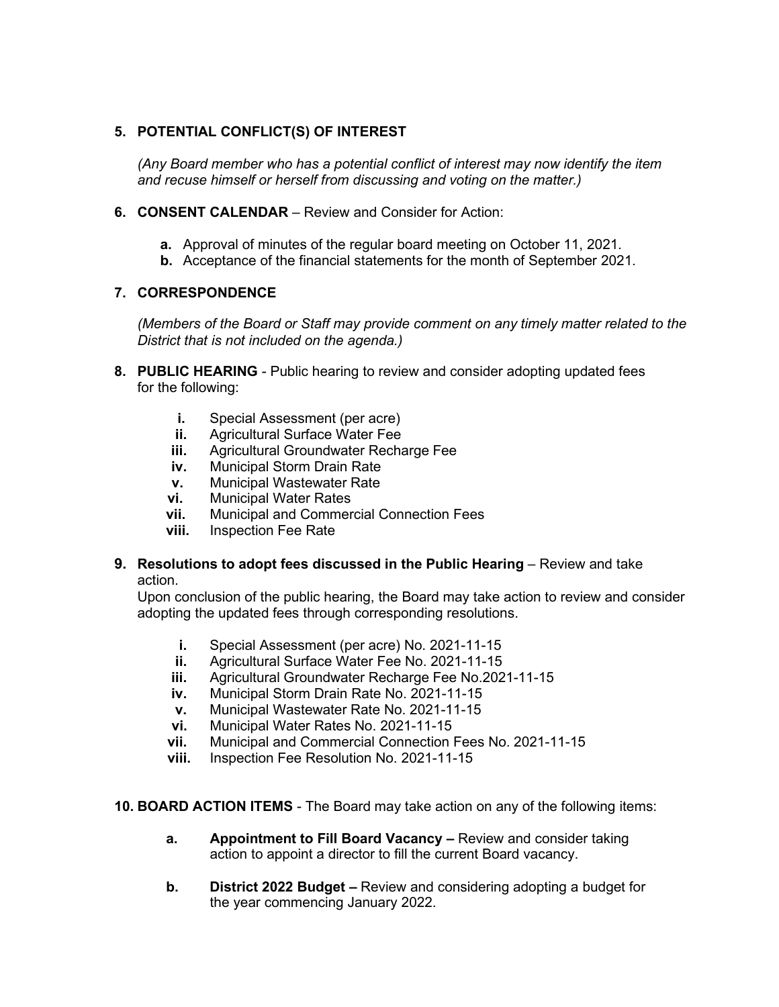### **5. POTENTIAL CONFLICT(S) OF INTEREST**

*(Any Board member who has a potential conflict of interest may now identify the item and recuse himself or herself from discussing and voting on the matter.)*

- **6. CONSENT CALENDAR**  Review and Consider for Action:
	- **a.** Approval of minutes of the regular board meeting on October 11, 2021.
	- **b.** Acceptance of the financial statements for the month of September 2021.

#### **7. CORRESPONDENCE**

*(Members of the Board or Staff may provide comment on any timely matter related to the District that is not included on the agenda.)*

- **8. PUBLIC HEARING**  Public hearing to review and consider adopting updated fees for the following:
	- **i.** Special Assessment (per acre)
	- **ii.** Agricultural Surface Water Fee
	- **iii.** Agricultural Groundwater Recharge Fee
	- **iv.** Municipal Storm Drain Rate
	- **v.** Municipal Wastewater Rate<br>**vi.** Municipal Water Rates
	- **vi.** Municipal Water Rates
	- **vii.** Municipal and Commercial Connection Fees
	- **viii.** Inspection Fee Rate
- **9. Resolutions to adopt fees discussed in the Public Hearing** Review and take action.

Upon conclusion of the public hearing, the Board may take action to review and consider adopting the updated fees through corresponding resolutions.

- **i.** Special Assessment (per acre) No. 2021-11-15
- **ii.** Agricultural Surface Water Fee No. 2021-11-15
- **iii.** Agricultural Groundwater Recharge Fee No.2021-11-15<br>**iv.** Municipal Storm Drain Rate No. 2021-11-15
- **iv.** Municipal Storm Drain Rate No. 2021-11-15
- **v.** Municipal Wastewater Rate No. 2021-11-15
- **vi.** Municipal Water Rates No. 2021-11-15
- **vii.** Municipal and Commercial Connection Fees No. 2021-11-15
- **viii.** Inspection Fee Resolution No. 2021-11-15

#### **10. BOARD ACTION ITEMS** - The Board may take action on any of the following items:

- **a. Appointment to Fill Board Vacancy –** Review and consider taking action to appoint a director to fill the current Board vacancy.
- **b. District 2022 Budget –** Review and considering adopting a budget for the year commencing January 2022.